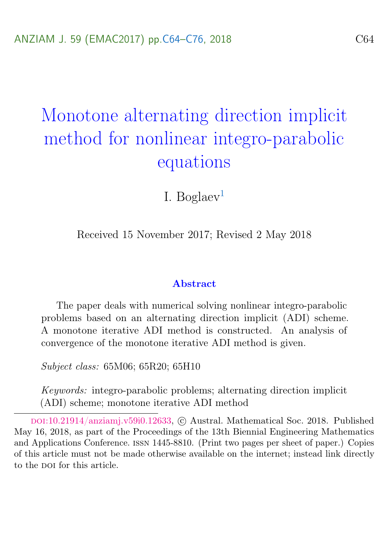# <span id="page-0-0"></span>Monotone alternating direction implicit method for nonlinear integro-parabolic equations

I. Boglaev<sup>[1](#page-12-0)</sup>

Received 15 November 2017; Revised 2 May 2018

#### Abstract

The paper deals with numerical solving nonlinear integro-parabolic problems based on an alternating direction implicit (ADI) scheme. A monotone iterative ADI method is constructed. An analysis of convergence of the monotone iterative ADI method is given.

Subject class: 65M06; 65R20; 65H10

Keywords: integro-parabolic problems; alternating direction implicit (ADI) scheme; monotone iterative ADI method

doi:[10.21914/anziamj.v59i0.12633,](https://doi.org/10.21914/anziamj.v59i0.12633) c Austral. Mathematical Soc. 2018. Published May 16, 2018, as part of the Proceedings of the 13th Biennial Engineering Mathematics and Applications Conference. issn 1445-8810. (Print two pages per sheet of paper.) Copies of this article must not be made otherwise available on the internet; instead link directly to the DOI for this article.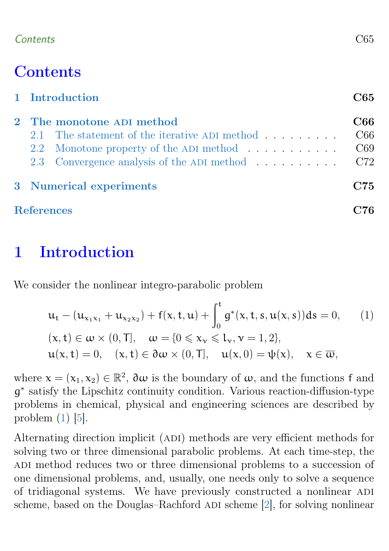### <span id="page-1-2"></span>Contents C65

# **Contents**

|                   | 1 Introduction            |                                                             |     |  |  |  |
|-------------------|---------------------------|-------------------------------------------------------------|-----|--|--|--|
|                   | 2 The monotone ADI method |                                                             |     |  |  |  |
|                   |                           | 2.1 The statement of the iterative ADI method $\dots \dots$ | C66 |  |  |  |
|                   |                           | 2.2 Monotone property of the ADI method                     | C69 |  |  |  |
|                   |                           | 2.3 Convergence analysis of the ADI method                  | C72 |  |  |  |
|                   | 3 Numerical experiments   |                                                             |     |  |  |  |
| <b>References</b> |                           |                                                             |     |  |  |  |

# <span id="page-1-0"></span>1 Introduction

We consider the nonlinear integro-parabolic problem

<span id="page-1-1"></span>
$$
u_{t} - (u_{x_{1}x_{1}} + u_{x_{2}x_{2}}) + f(x, t, u) + \int_{0}^{t} g^{*}(x, t, s, u(x, s)) ds = 0,
$$
 (1)  

$$
(x, t) \in \omega \times (0, T], \quad \omega = \{0 \le x_{v} \le l_{v}, v = 1, 2\},
$$
  

$$
u(x, t) = 0, \quad (x, t) \in \partial \omega \times (0, T], \quad u(x, 0) = \psi(x), \quad x \in \overline{\omega},
$$

where  $\mathbf{x} = (\mathbf{x}_1, \mathbf{x}_2) \in \mathbb{R}^2$ ,  $\partial \omega$  is the boundary of  $\omega$ , and the functions f and g ∗ satisfy the Lipschitz continuity condition. Various reaction-diffusion-type problems in chemical, physical and engineering sciences are described by problem  $(1)$  [\[5\]](#page-12-2).

Alternating direction implicit (ADI) methods are very efficient methods for solving two or three dimensional parabolic problems. At each time-step, the ADI method reduces two or three dimensional problems to a succession of one dimensional problems, and, usually, one needs only to solve a sequence of tridiagonal systems. We have previously constructed a nonlinear adi scheme, based on the Douglas–Rachford ADI scheme [\[2\]](#page-12-3), for solving nonlinear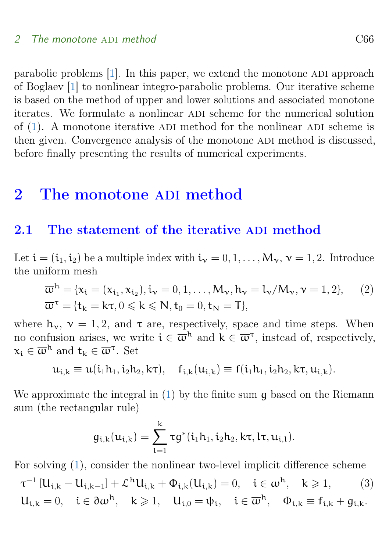<span id="page-2-3"></span>parabolic problems [\[1\]](#page-12-4). In this paper, we extend the monotone ADI approach of Boglaev [\[1\]](#page-12-4) to nonlinear integro-parabolic problems. Our iterative scheme is based on the method of upper and lower solutions and associated monotone iterates. We formulate a nonlinear adi scheme for the numerical solution of  $(1)$ . A monotone iterative ADI method for the nonlinear ADI scheme is then given. Convergence analysis of the monotone ADI method is discussed, before finally presenting the results of numerical experiments.

# <span id="page-2-0"></span>2 The monotone ADI method

#### <span id="page-2-1"></span>2.1 The statement of the iterative ADI method

Let  $\mathbf{i} = (\mathbf{i}_1, \mathbf{i}_2)$  be a multiple index with  $\mathbf{i}_y = 0, 1, \dots, M_y, \mathbf{v} = 1, 2$ . Introduce the uniform mesh

$$
\overline{\omega}^{h} = \{x_{i} = (x_{i_{1}}, x_{i_{2}}), i_{\nu} = 0, 1, ..., M_{\nu}, h_{\nu} = l_{\nu}/M_{\nu}, \nu = 1, 2\},
$$
\n
$$
\overline{\omega}^{\tau} = \{t_{k} = k\tau, 0 \leq k \leq N, t_{0} = 0, t_{N} = T\},
$$
\n(2)

where  $h_v$ ,  $v = 1, 2$ , and  $\tau$  are, respectively, space and time steps. When no confusion arises, we write  $i \in \overline{\omega}^h$  and  $k \in \overline{\omega}^{\tau}$ , instead of, respectively,  $x_i \in \overline{\omega}^{\mathsf{h}}$  and  $t_k \in \overline{\omega}^{\tau}$ . Set

$$
u_{i,k} \equiv u(i_1h_1, i_2h_2, k\tau), \quad f_{i,k}(u_{i,k}) \equiv f(i_1h_1, i_2h_2, k\tau, u_{i,k}).
$$

We approximate the integral in  $(1)$  by the finite sum q based on the Riemann sum (the rectangular rule)

<span id="page-2-2"></span>
$$
g_{i,k}(u_{i,k})=\sum_{l=1}^k \tau g^*(i_1h_1,i_2h_2,k\tau,l\tau,u_{i,l}).
$$

For solving [\(1\)](#page-1-1), consider the nonlinear two-level implicit difference scheme

$$
\begin{aligned} &\tau^{-1}\left[U_{i,k}-U_{i,k-1}\right] + \mathcal{L}^h U_{i,k} + \Phi_{i,k}(U_{i,k}) = 0, \quad i \in \omega^h, \quad k \geqslant 1, \qquad (3)\\ &U_{i,k} = 0, \quad i \in \partial \omega^h, \quad k \geqslant 1, \quad U_{i,0} = \psi_i, \quad i \in \overline{\omega}^h, \quad \Phi_{i,k} \equiv f_{i,k} + g_{i,k}. \end{aligned}
$$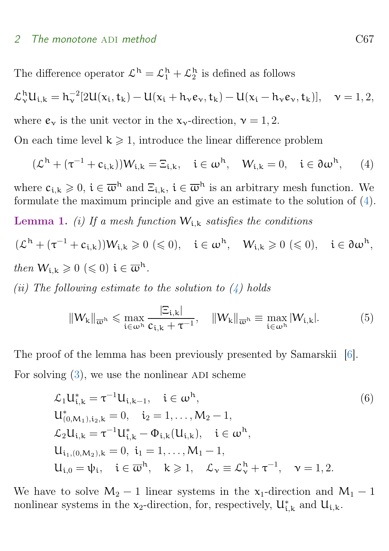<span id="page-3-4"></span>The difference operator  $\mathcal{L}^h = \mathcal{L}_1^h + \mathcal{L}_2^h$  is defined as follows  $\mathcal{L}_{\nu}^{h}U_{i,k} = h_{\nu}^{-2}[2U(x_i, t_k) - U(x_i + h_{\nu}e_{\nu}, t_k) - U(x_i - h_{\nu}e_{\nu}, t_k)], \quad \nu = 1, 2,$ where  $e_v$  is the unit vector in the  $x_v$ -direction,  $v = 1, 2$ . On each time level  $k \geq 1$ , introduce the linear difference problem

<span id="page-3-0"></span>
$$
(\mathcal{L}^h+(\tau^{-1}+c_{i,k}))W_{i,k}=\Xi_{i,k},\quad i\in\omega^h,\quad W_{i,k}=0,\quad i\in\partial\omega^h,\quad \ (4)
$$

<span id="page-3-2"></span>where  $c_{i,k} \geqslant 0$ ,  $i \in \overline{\omega}^h$  and  $\Xi_{i,k}$ ,  $i \in \overline{\omega}^h$  is an arbitrary mesh function. We formulate the maximum principle and give an estimate to the solution of [\(4\)](#page-3-0). **Lemma 1.** (i) If a mesh function  $W_{i,k}$  satisfies the conditions

$$
\begin{aligned} & (\mathcal{L}^h + (\tau^{-1} + c_{i,k}))W_{i,k} \geqslant 0 \, (\leqslant 0), \quad i \in \omega^h, \quad W_{i,k} \geqslant 0 \, (\leqslant 0), \quad i \in \partial \omega^h, \\ &then \, W_{i,k} \geqslant 0 \, (\leqslant 0) \, \, i \in \overline{\omega}^h. \end{aligned}
$$

(ii) The following estimate to the solution to  $(4)$  holds

<span id="page-3-3"></span><span id="page-3-1"></span>
$$
||W_{k}||_{\overline{\omega}^{h}} \leqslant \max_{i \in \omega^{h}} \frac{|\Xi_{i,k}|}{c_{i,k} + \tau^{-1}}, \quad ||W_{k}||_{\overline{\omega}^{h}} \equiv \max_{i \in \omega^{h}} |W_{i,k}|. \tag{5}
$$

The proof of the lemma has been previously presented by Samarskii [\[6\]](#page-12-5). For solving  $(3)$ , we use the nonlinear ADI scheme

$$
\mathcal{L}_1 U_{i,k}^* = \tau^{-1} U_{i,k-1}, \quad i \in \omega^h,
$$
  
\n
$$
U_{(0,M_1),i_2,k}^* = 0, \quad i_2 = 1, ..., M_2 - 1,
$$
  
\n
$$
\mathcal{L}_2 U_{i,k} = \tau^{-1} U_{i,k}^* - \Phi_{i,k} (U_{i,k}), \quad i \in \omega^h,
$$
  
\n
$$
U_{i_1,(0,M_2),k} = 0, \quad i_1 = 1, ..., M_1 - 1,
$$
  
\n
$$
U_{i,0} = \psi_i, \quad i \in \overline{\omega}^h, \quad k \ge 1, \quad \mathcal{L}_v \equiv \mathcal{L}_v^h + \tau^{-1}, \quad v = 1, 2.
$$
\n(6)

We have to solve  $M_2 - 1$  linear systems in the x<sub>1</sub>-direction and  $M_1 - 1$ nonlinear systems in the  $x_2$ -direction, for, respectively,  $U_{i,k}^*$  and  $U_{i,k}$ .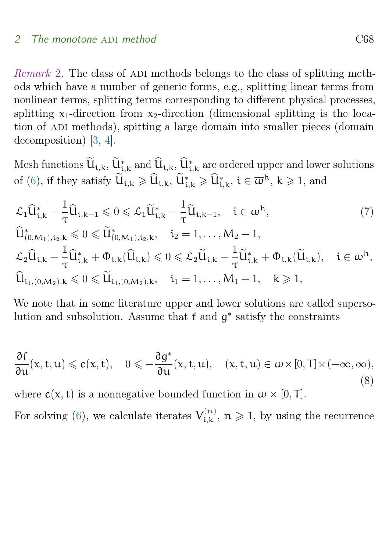<span id="page-4-2"></span>Remark 2. The class of ADI methods belongs to the class of splitting methods which have a number of generic forms, e.g., splitting linear terms from nonlinear terms, splitting terms corresponding to different physical processes, splitting  $x_1$ -direction from  $x_2$ -direction (dimensional splitting is the location of ADI methods), spitting a large domain into smaller pieces (domain decomposition) [\[3,](#page-12-6) [4\]](#page-12-7).

Mesh functions  $\dot{\mathbf{u}}_{i,k}$ ,  $\dot{\mathbf{u}}_{i,k}^*$  and  $\dot{\mathbf{u}}_{i,k}$ ,  $\dot{\mathbf{u}}_{i,k}^*$  are ordered upper and lower solutions of [\(6\)](#page-3-1), if they satisfy  $\widetilde{U}_{i,k} \geq \widehat{U}_{i,k}$ ,  $\widetilde{U}_{i,k}^* \geq \widehat{U}_{i,k}^*$ ,  $i \in \overline{\omega}^h$ ,  $k \geq 1$ , and

<span id="page-4-1"></span>
$$
\mathcal{L}_{1}\hat{U}_{i,k}^{*} - \frac{1}{\tau}\hat{U}_{i,k-1} \leq 0 \leq \mathcal{L}_{1}\tilde{U}_{i,k}^{*} - \frac{1}{\tau}\tilde{U}_{i,k-1}, \quad i \in \omega^{h},
$$
\n
$$
\hat{U}_{(0,M_{1}),i_{2},k}^{*} \leq 0 \leq \tilde{U}_{(0,M_{1}),i_{2},k}^{*}, \quad i_{2} = 1, \ldots, M_{2} - 1,
$$
\n
$$
\mathcal{L}_{2}\hat{U}_{i,k} - \frac{1}{\tau}\hat{U}_{i,k}^{*} + \Phi_{i,k}(\hat{U}_{i,k}) \leq 0 \leq \mathcal{L}_{2}\tilde{U}_{i,k} - \frac{1}{\tau}\tilde{U}_{i,k}^{*} + \Phi_{i,k}(\tilde{U}_{i,k}), \quad i \in \omega^{h},
$$
\n
$$
\hat{U}_{i_{1},(0,M_{2}),k} \leq 0 \leq \tilde{U}_{i_{1},(0,M_{2}),k}, \quad i_{1} = 1, \ldots, M_{1} - 1, \quad k \geq 1,
$$
\n
$$
(7)
$$

We note that in some literature upper and lower solutions are called supersolution and subsolution. Assume that f and  $g^*$  satisfy the constraints

<span id="page-4-0"></span>
$$
\frac{\partial f}{\partial u}(x,t,u)\leqslant c(x,t),\quad 0\leqslant -\frac{\partial g^*}{\partial u}(x,t,u),\quad (x,t,u)\in \omega\times [0,T]\times (-\infty,\infty),
$$
\n(8)

where  $c(x, t)$  is a nonnegative bounded function in  $\omega \times [0, T]$ .

For solving [\(6\)](#page-3-1), we calculate iterates  $V_{i,k}^{(n)}$  $t_{i,k}^{(n)}$ ,  $n \geqslant 1$ , by using the recurrence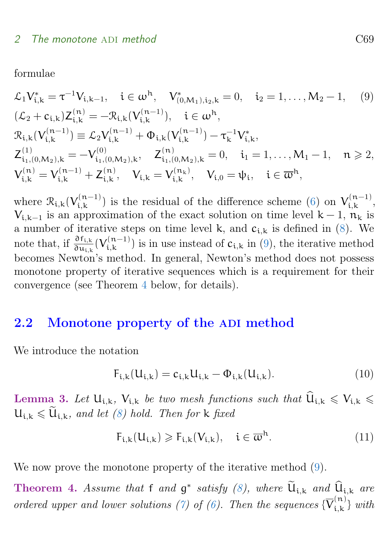formulae

<span id="page-5-1"></span>
$$
\mathcal{L}_{1}V_{i,k}^{*} = \tau^{-1}V_{i,k-1}, \quad i \in \omega^{h}, \quad V_{(0,M_{1}),i_{2},k}^{*} = 0, \quad i_{2} = 1, \ldots, M_{2} - 1, \quad (9)
$$
\n
$$
(\mathcal{L}_{2} + c_{i,k})Z_{i,k}^{(n)} = -\mathcal{R}_{i,k}(V_{i,k}^{(n-1)}), \quad i \in \omega^{h},
$$
\n
$$
\mathcal{R}_{i,k}(V_{i,k}^{(n-1)}) \equiv \mathcal{L}_{2}V_{i,k}^{(n-1)} + \Phi_{i,k}(V_{i,k}^{(n-1)}) - \tau_{k}^{-1}V_{i,k}^{*},
$$
\n
$$
Z_{i_{1},(0,M_{2}),k}^{(1)} = -V_{i_{1},(0,M_{2}),k}^{(0)}, \quad Z_{i_{1},(0,M_{2}),k}^{(n)} = 0, \quad i_{1} = 1, \ldots, M_{1} - 1, \quad n \ge 2,
$$
\n
$$
V_{i,k}^{(n)} = V_{i,k}^{(n-1)} + Z_{i,k}^{(n)}, \quad V_{i,k} = V_{i,k}^{(n_{k})}, \quad V_{i,0} = \psi_{i}, \quad i \in \overline{\omega}^{h},
$$

where  $\mathcal{R}_{i,k}(V_{i,k}^{(n-1)})$  $\mathcal{V}_{i,k}^{(n-1)}$  is the residual of the difference scheme [\(6\)](#page-3-1) on  $V_{i,k}^{(n-1)}$ , (n-1)<br>i, k,  $V_{i,k-1}$  is an approximation of the exact solution on time level  $k-1$ ,  $n_k$  is a number of iterative steps on time level k, and  $c_{i,k}$  is defined in [\(8\)](#page-4-0). We note that, if  $\frac{\partial f_{i,k}}{\partial u_{i,k}}(V_{i,k}^{(n-1)})$  $i_{i,k}^{(n-1)}$  is in use instead of  $c_{i,k}$  in [\(9\)](#page-5-1), the iterative method becomes Newton's method. In general, Newton's method does not possess monotone property of iterative sequences which is a requirement for their convergence (see Theorem [4](#page-5-2) below, for details).

### <span id="page-5-0"></span>2.2 Monotone property of the ADI method

We introduce the notation

<span id="page-5-3"></span>
$$
F_{i,k}(U_{i,k}) = c_{i,k}U_{i,k} - \Phi_{i,k}(U_{i,k}).
$$
\n(10)

<span id="page-5-4"></span>Lemma 3. Let  $U_{i,k}$ ,  $V_{i,k}$  be two mesh functions such that  $\widehat{U}_{i,k} \leqslant V_{i,k} \leqslant$  $U_{i,k} \leq U_{i,k}$ , and let [\(8\)](#page-4-0) hold. Then for k fixed

$$
F_{i,k}(U_{i,k}) \geqslant F_{i,k}(V_{i,k}), \quad i \in \overline{\omega}^h. \tag{11}
$$

We now prove the monotone property of the iterative method  $(9)$ .

<span id="page-5-2"></span>Theorem 4. Assume that f and  $g^*$  satisfy [\(8\)](#page-4-0), where  $\mathbf{U}_{i,k}$  and  $\mathbf{U}_{i,k}$  are ordered upper and lower solutions [\(7\)](#page-4-1) of [\(6\)](#page-3-1). Then the sequences  $\{\overline{V}_{i,k}^{(n)}\}$  $\{u_{i,k}\}_{i,k}$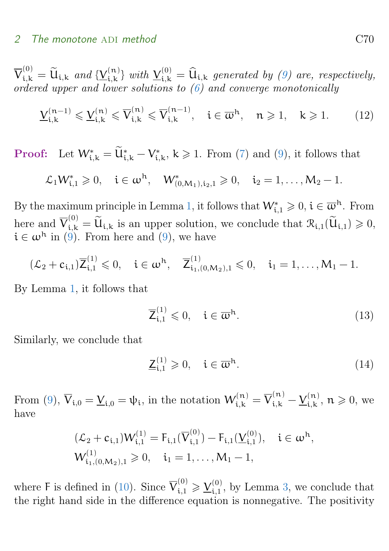$\overline{V}_{i,k}^{(0)} = \widetilde{u}_{i,k}$  and  $\{\underline{V}_{i,k}^{(n)}\}$  $\{u_{i,k}\}_{i,k}$  with  $\underline{V}_{i,k}^{(0)} = \widehat{u}_{i,k}$  generated by [\(9\)](#page-5-1) are, respectively, ordered upper and lower solutions to [\(6\)](#page-3-1) and converge monotonically

<span id="page-6-2"></span>
$$
\underline{V}_{i,k}^{(n-1)} \leqslant \underline{V}_{i,k}^{(n)} \leqslant \overline{V}_{i,k}^{(n)} \leqslant \overline{V}_{i,k}^{(n-1)}, \quad i \in \overline{\omega}^h, \quad n \geqslant 1, \quad k \geqslant 1. \tag{12}
$$

**Proof:** Let  $W_{i,k}^* = \widetilde{U}_{i,k}^* - V_{i,k}^*$ ,  $k \ge 1$ . From [\(7\)](#page-4-1) and [\(9\)](#page-5-1), it follows that

$$
\mathcal{L}_1 W_{i,1}^* \geq 0
$$
,  $i \in \omega^h$ ,  $W_{(0,M_1),i_2,1}^* \geq 0$ ,  $i_2 = 1,...,M_2 - 1$ .

By the maximum principle in Lemma [1,](#page-3-2) it follows that  $W_{i,1}^* \geqslant 0$ ,  $i \in \overline{\omega}^h$ . From here and  $\overline{V}_{i,k}^{(0)} = \widetilde{U}_{i,k}$  is an upper solution, we conclude that  $\mathcal{R}_{i,1}(\widetilde{U}_{i,1}) \geq 0$ ,  $i \in \omega^h$  in [\(9\)](#page-5-1). From here and (9), we have

$$
(\mathcal{L}_2 + c_{i,1})\overline{Z}_{i,1}^{(1)} \leq 0
$$
,  $i \in \omega^h$ ,  $\overline{Z}_{i_1,(0,M_2),1}^{(1)} \leq 0$ ,  $i_1 = 1,...,M_1 - 1$ .

By Lemma [1,](#page-3-2) it follows that

<span id="page-6-0"></span>
$$
\overline{\mathsf{Z}}_{i,1}^{(1)} \leqslant 0, \quad i \in \overline{\omega}^{\mathrm{h}}.\tag{13}
$$

Similarly, we conclude that

<span id="page-6-1"></span>
$$
\underline{\mathsf{Z}}_{i,1}^{(1)} \geqslant 0, \quad i \in \overline{\mathbf{w}}^{\mathbf{h}}.\tag{14}
$$

From [\(9\)](#page-5-1),  $\overline{V}_{i,0} = \underline{V}_{i,0} = \psi_i$ , in the notation  $W_{i,k}^{(n)} = \overline{V}_{i,k}^{(n)} - \underline{V}_{i,k}^{(n)}$  ${\mathfrak n}_{i,k}^{(n)}$ ,  $n\geqslant 0$ , we have

$$
(\mathcal{L}_2 + c_{i,1})W_{i,1}^{(1)} = F_{i,1}(\overline{V}_{i,1}^{(0)}) - F_{i,1}(\underline{V}_{i,1}^{(0)}), \quad i \in \omega^h,
$$
  

$$
W_{i_1,(0,M_2),1}^{(1)} \geq 0, \quad i_1 = 1,\ldots,M_1 - 1,
$$

where F is defined in [\(10\)](#page-5-3). Since  $\overline{V}_{i,1}^{(0)} \geq \underline{V}_{i,1}^{(0)}$ , by Lemma [3,](#page-5-4) we conclude that the right hand side in the difference equation is nonnegative. The positivity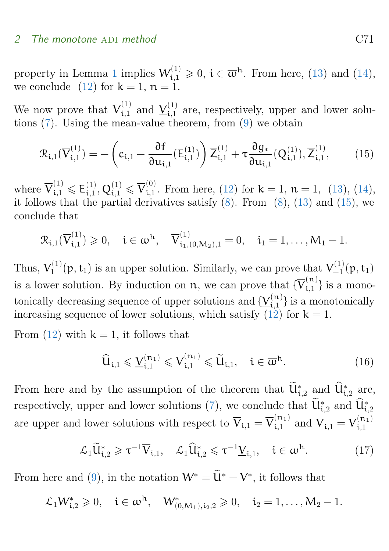property in Lemma [1](#page-3-2) implies  $W_{i,1}^{(1)} \geq 0$ ,  $i \in \overline{\omega}^h$ . From here, [\(13\)](#page-6-0) and [\(14\)](#page-6-1), we conclude [\(12\)](#page-6-2) for  $k = 1$ ,  $n = 1$ .

We now prove that  $\overline{V}_{i,1}^{(1)}$  and  $\underline{V}_{i,1}^{(1)}$  are, respectively, upper and lower solutions [\(7\)](#page-4-1). Using the mean-value theorem, from [\(9\)](#page-5-1) we obtain

<span id="page-7-0"></span>
$$
\mathcal{R}_{i,1}(\overline{V}_{i,1}^{(1)}) = -\left(c_{i,1} - \frac{\partial f}{\partial u_{i,1}}(E_{i,1}^{(1)})\right)\overline{Z}_{i,1}^{(1)} + \tau \frac{\partial g_*}{\partial u_{i,1}}(Q_{i,1}^{(1)}), \overline{Z}_{i,1}^{(1)},
$$
(15)

where  $\overline{V}_{i,1}^{(1)} \leqslant E_{i,1}^{(1)}, Q_{i,1}^{(1)} \leqslant \overline{V}_{i,1}^{(0)}$ . From here, [\(12\)](#page-6-2) for  $k = 1$ ,  $n = 1$ , [\(13\)](#page-6-0), [\(14\)](#page-6-1), it follows that the partial derivatives satisfy  $(8)$ . From  $(8)$ ,  $(13)$  and  $(15)$ , we conclude that

$$
\mathcal{R}_{i,1}(\overline{V}_{i,1}^{(1)}) \geq 0
$$
,  $i \in \omega^h$ ,  $\overline{V}_{i_1,(0,M_2),1}^{(1)} = 0$ ,  $i_1 = 1,...,M_1 - 1$ .

Thus,  $V_1^{(1)}$  $Y_1^{(1)}(p, t_1)$  is an upper solution. Similarly, we can prove that  $V_{-1}^{(1)}$  $\binom{11}{-1} (p, t_1)$ is a lower solution. By induction on  $n$ , we can prove that  $\{\overline{V}_{i,1}^{(n)}\}$  is a monotonically decreasing sequence of upper solutions and  $\{\underline{V}_{i,1}^{(n)}\}$  is a monotonically increasing sequence of lower solutions, which satisfy  $(12)$  for  $k = 1$ .

From [\(12\)](#page-6-2) with  $k = 1$ , it follows that

<span id="page-7-1"></span>
$$
\widehat{U}_{i,1} \leqslant \underline{V}_{i,1}^{(n_1)} \leqslant \overline{V}_{i,1}^{(n_1)} \leqslant \widetilde{U}_{i,1}, \quad i \in \overline{\omega}^h. \tag{16}
$$

From here and by the assumption of the theorem that  $\hat{\mathbf{u}}_{i,2}^*$  and  $\hat{\mathbf{u}}_{i,2}^*$  are, respectively, upper and lower solutions [\(7\)](#page-4-1), we conclude that  $\dot{\mathbf{U}}_{i,2}^*$  and  $\dot{\mathbf{U}}_{i,2}^*$ are upper and lower solutions with respect to  $\overline{V}_{i,1} = \overline{V}_{i,1}^{(n_1)}$  and  $\underline{V}_{i,1} = \underline{V}_{i,1}^{(n_1)}$  $\cdot \mathfrak{i}, 1$ 

$$
\mathcal{L}_1 \widetilde{\mathbf{U}}_{i,2}^* \geqslant \tau^{-1} \overline{\mathbf{V}}_{i,1}, \quad \mathcal{L}_1 \widehat{\mathbf{U}}_{i,2}^* \leqslant \tau^{-1} \underline{\mathbf{V}}_{i,1}, \quad i \in \omega^{\mathrm{h}}. \tag{17}
$$

From here and [\(9\)](#page-5-1), in the notation  $W^* = \tilde{U}^* - V^*$ , it follows that

$$
\mathcal{L}_1 W_{i,2}^* \geq 0
$$
,  $i \in \omega^h$ ,  $W_{(0,M_1),i_2,2}^* \geq 0$ ,  $i_2 = 1,..., M_2 - 1$ .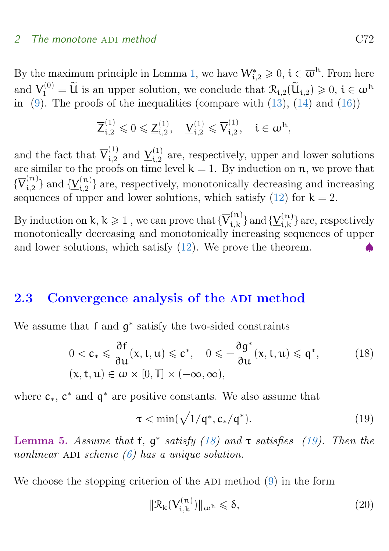By the maximum principle in Lemma [1,](#page-3-2) we have  $W_{i,2}^* \geqslant 0$ ,  $i \in \overline{\omega}^h$ . From here and  $V_1^{(0)} = \widetilde{U}$  is an upper solution, we conclude that  $\mathcal{R}_{i,2}(\widetilde{U}_{i,2}) \geq 0$ ,  $i \in \omega^h$ in  $(9)$ . The proofs of the inequalities (compare with  $(13)$ ,  $(14)$  and  $(16)$ )

$$
\overline{\mathsf{Z}}_{\mathfrak{i},2}^{(1)} \leqslant 0 \leqslant \underline{\mathsf{Z}}_{\mathfrak{i},2}^{(1)}, \quad \underline{\mathsf{Y}}_{\mathfrak{i},2}^{(1)} \leqslant \overline{\mathsf{V}}_{\mathfrak{i},2}^{(1)}, \quad \mathfrak{i} \in \overline{\omega}^{\mathfrak{h}},
$$

and the fact that  $\overline{V}_{i,2}^{(1)}$  and  $\underline{V}_{i,2}^{(1)}$  are, respectively, upper and lower solutions are similar to the proofs on time level  $k = 1$ . By induction on n, we prove that  $\{\overline{V}_{i,2}^{(n)}\}$  and  $\{\underline{V}_{i,2}^{(n)}\}$  are, respectively, monotonically decreasing and increasing sequences of upper and lower solutions, which satisfy  $(12)$  for  $k = 2$ .

By induction on k,  $k \geqslant 1$  , we can prove that  $\{\overline{V}_{i,k}^{(n)}\}$  $\{(\mathbf{x}_i^{(n)})\}_{i,k}$  and  $\{\underline{V}_{i,k}^{(n)}\}$  $\{a_i, b_i\}$  are, respectively monotonically decreasing and monotonically increasing sequences of upper and lower solutions, which satisfy  $(12)$ . We prove the theorem.

#### <span id="page-8-0"></span>2.3 Convergence analysis of the ADI method

We assume that f and  $g^*$  satisfy the two-sided constraints

$$
0 < c_* \leq \frac{\partial f}{\partial u}(x, t, u) \leq c^*, \quad 0 \leq -\frac{\partial g^*}{\partial u}(x, t, u) \leq q^*,
$$
\n
$$
(x, t, u) \in \omega \times [0, T] \times (-\infty, \infty),
$$
\n
$$
(18)
$$

where  $c_*, c^*$  and  $q^*$  are positive constants. We also assume that

<span id="page-8-2"></span><span id="page-8-1"></span>
$$
\tau < \min(\sqrt{1/\mathsf{q}^*}, \mathsf{c}_*/\mathsf{q}^*). \tag{19}
$$

<span id="page-8-4"></span>Lemma 5. Assume that f,  $g^*$  satisfy [\(18\)](#page-8-1) and  $\tau$  satisfies [\(19\)](#page-8-2). Then the nonlinear ADI scheme  $(6)$  has a unique solution.

We choose the stopping criterion of the ADI method  $(9)$  in the form

<span id="page-8-3"></span>
$$
\|\mathcal{R}_{k}(V_{i,k}^{(n)})\|_{\omega^{h}} \leqslant \delta,
$$
\n(20)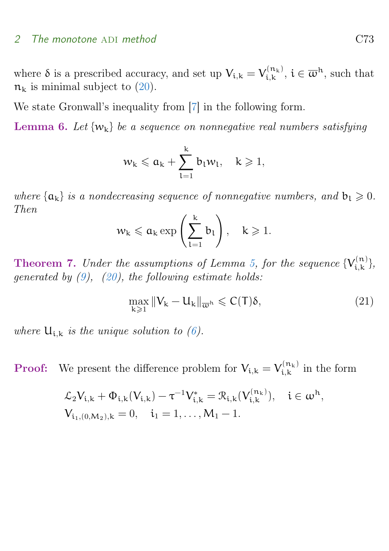<span id="page-9-2"></span>where  $\delta$  is a prescribed accuracy, and set up  $V_{i,k} = V_{i,k}^{(n_k)}$  $\mathbf{z}_{i,k}^{(n_k)}$ ,  $i \in \overline{\omega}^h$ , such that  $n_k$  is minimal subject to [\(20\)](#page-8-3).

We state Gronwall's inequality from [\[7\]](#page-12-8) in the following form.

<span id="page-9-0"></span>**Lemma 6.** Let  $\{w_k\}$  be a sequence on nonnegative real numbers satisfying

$$
w_k \leqslant a_k + \sum_{l=1}^k b_l w_l, \quad k \geqslant 1,
$$

where  $\{\alpha_k\}$  is a nondecreasing sequence of nonnegative numbers, and  $b_1 \geq 0$ . Then

$$
w_k \leq a_k \exp\left(\sum_{l=1}^k b_l\right), \quad k \geqslant 1.
$$

**Theorem 7.** Under the assumptions of Lemma [5,](#page-8-4) for the sequence  $\{V_{i,k}^{(n)}\}$  $\binom{n}{i,k},$ generated by  $(9)$ ,  $(20)$ , the following estimate holds:

<span id="page-9-1"></span>
$$
\max_{k\geqslant 1}\|V_k-U_k\|_{\overline{\omega}^h}\leqslant C(T)\delta,\qquad \qquad (21)
$$

where  $U_{i,k}$  is the unique solution to [\(6\)](#page-3-1).

**Proof:** We present the difference problem for  $V_{i,k} = V_{i,k}^{(n_k)}$  $\mathcal{L}_{i,k}^{(n_k)}$  in the form

$$
\mathcal{L}_2 V_{i,k} + \Phi_{i,k} (V_{i,k}) - \tau^{-1} V_{i,k}^* = \mathcal{R}_{i,k} (V_{i,k}^{(n_k)}), \quad i \in \omega^h,
$$
  

$$
V_{i_1, (0,M_2),k} = 0, \quad i_1 = 1, ..., M_1 - 1.
$$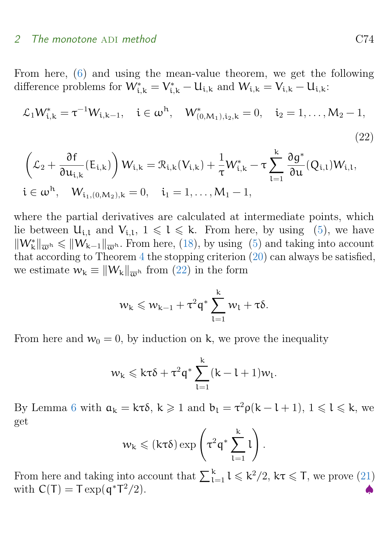From here, [\(6\)](#page-3-1) and using the mean-value theorem, we get the following difference problems for  $W^*_{i,k} = V^*_{i,k} - U_{i,k}$  and  $W_{i,k} = V_{i,k} - U_{i,k}$ :

$$
\mathcal{L}_1 W_{i,k}^* = \tau^{-1} W_{i,k-1}, \quad i \in \omega^h, \quad W_{(0,M_1),i_2,k}^* = 0, \quad i_2 = 1, \dots, M_2 - 1,
$$
\n(22)

$$
\begin{aligned}&\left(\mathcal{L}_2+\frac{\partial f}{\partial u_{i,k}}(E_{i,k})\right)W_{i,k}=\mathcal{R}_{i,k}(V_{i,k})+\frac{1}{\tau}W_{i,k}^*-\tau\sum_{l=1}^k\frac{\partial g^*}{\partial u}(Q_{i,l})W_{i,l},\\&i\in\omega^h,\quad W_{i_1,(0,M_2),k}=0,\quad i_1=1,\ldots,M_1-1,\end{aligned}
$$

where the partial derivatives are calculated at intermediate points, which lie between  $U_{i,l}$  and  $V_{i,l}$ ,  $1 \leq l \leq k$ . From here, by using [\(5\)](#page-3-3), we have  $\|W_k^*\|_{\overline{\omega}^h} \leqslant \|W_{k-1}\|_{\overline{\omega}^h}$ . From here, [\(18\)](#page-8-1), by using [\(5\)](#page-3-3) and taking into account that according to Theorem  $4$  the stopping criterion  $(20)$  can always be satisfied, we estimate  $w_k \equiv ||W_k||_{\overline{\omega}^h}$  from [\(22\)](#page-10-0) in the form

<span id="page-10-0"></span>
$$
w_k \leqslant w_{k-1} + \tau^2 \mathfrak{q}^* \sum_{l=1}^k w_l + \tau \delta.
$$

From here and  $w_0 = 0$ , by induction on k, we prove the inequality

$$
w_k \leqslant k\tau\delta + \tau^2q^* \sum_{l=1}^k{(k-l+1)w_l}.
$$

By Lemma [6](#page-9-0) with  $a_k = k\tau\delta$ ,  $k \geq 1$  and  $b_l = \tau^2 \rho(k - l + 1)$ ,  $1 \leq l \leq k$ , we get

$$
w_k \leqslant (k\tau\delta) \exp\left(\tau^2 q^* \sum_{l=1}^k l\right).
$$

From here and taking into account that  $\sum_{l=1}^{k} l \leq k^2/2$ ,  $k\tau \leq T$ , we prove [\(21\)](#page-9-1) with  $C(T) = T \exp(q^*T)$  $^{2}/2$ ).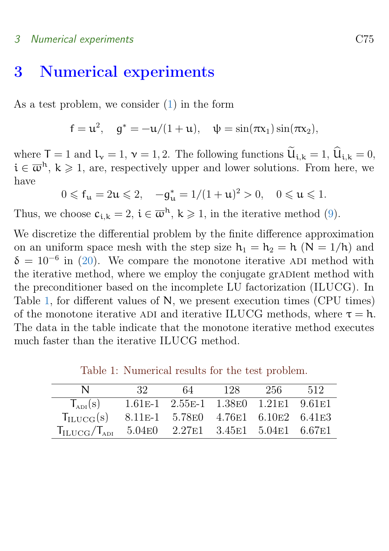#### 3 Numerical experiments C75

# <span id="page-11-0"></span>3 Numerical experiments

As a test problem, we consider [\(1\)](#page-1-1) in the form

$$
f = u^2
$$
,  $g^* = -u/(1+u)$ ,  $\psi = \sin(\pi x_1) \sin(\pi x_2)$ ,

where  $T = 1$  and  $l_v = 1$ ,  $v = 1, 2$ . The following functions  $\widetilde{u}_{i,k} = 1$ ,  $\widehat{u}_{i,k} = 0$ ,  $i \in \overline{\omega}^h$ ,  $k \geq 1$ , are, respectively upper and lower solutions. From here, we have

$$
0 \leqslant f_{\mathfrak{u}} = 2\mathfrak{u} \leqslant 2, \quad -g_{\mathfrak{u}}^* = 1/(1+\mathfrak{u})^2 > 0, \quad 0 \leqslant \mathfrak{u} \leqslant 1.
$$

Thus, we choose  $c_{i,k} = 2$ ,  $i \in \overline{\omega}^h$ ,  $k \geq 1$ , in the iterative method [\(9\)](#page-5-1).

We discretize the differential problem by the finite difference approximation on an uniform space mesh with the step size  $h_1 = h_2 = h$  (N = 1/h) and  $\delta = 10^{-6}$  in [\(20\)](#page-8-3). We compare the monotone iterative ADI method with the iterative method, where we employ the conjugate gradient method with the preconditioner based on the incomplete LU factorization (ILUCG). In Table [1,](#page-11-1) for different values of N, we present execution times (CPU times) of the monotone iterative ADI and iterative ILUCG methods, where  $\tau = h$ . The data in the table indicate that the monotone iterative method executes much faster than the iterative ILUCG method.

| N                                                                    | -32- | 64                                       | -128 | -256- | .512 |
|----------------------------------------------------------------------|------|------------------------------------------|------|-------|------|
| $T_{ADI}(s)$                                                         |      | 1.61E-1 2.55E-1 1.38E0 1.21E1 9.61E1     |      |       |      |
| $T_{\text{ILUCG}}(s)$                                                |      | 8.11 E-1 5.78 E0 4.76 E1 6.10 E2 6.41 E3 |      |       |      |
| $T_{\text{ILUCG}}/T_{\text{ADI}}$ 5.04E0 2.27E1 3.45E1 5.04E1 6.67E1 |      |                                          |      |       |      |

<span id="page-11-1"></span>Table 1: Numerical results for the test problem.